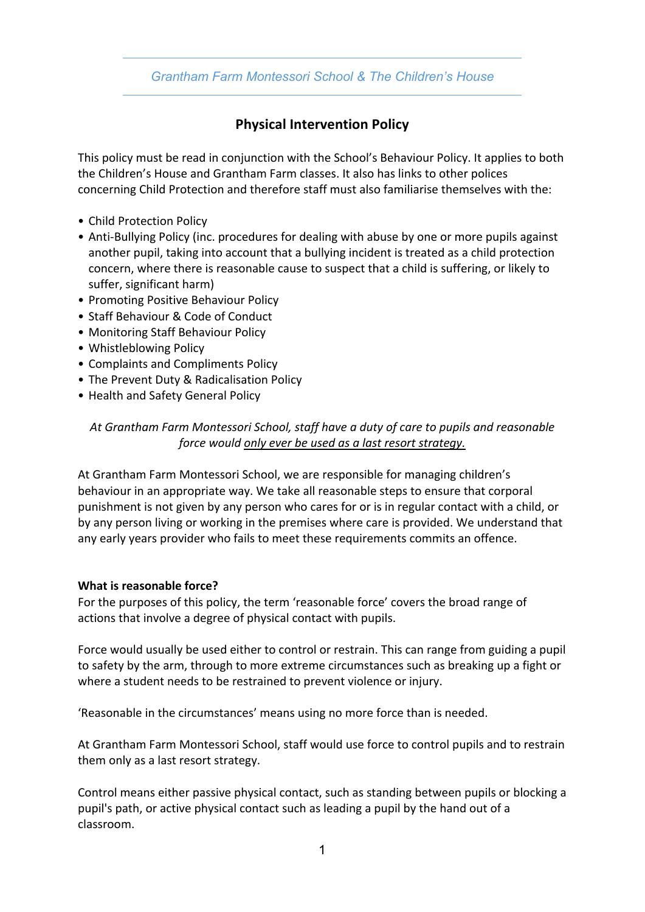# *Grantham Farm Montessori School & The Children's House*

# **Physical Intervention Policy**

This policy must be read in conjunction with the School's Behaviour Policy. It applies to both the Children's House and Grantham Farm classes. It also has links to other polices concerning Child Protection and therefore staff must also familiarise themselves with the:

- Child Protection Policy
- Anti-Bullying Policy (inc. procedures for dealing with abuse by one or more pupils against another pupil, taking into account that a bullying incident is treated as a child protection concern, where there is reasonable cause to suspect that a child is suffering, or likely to suffer, significant harm)
- Promoting Positive Behaviour Policy
- Staff Behaviour & Code of Conduct
- Monitoring Staff Behaviour Policy
- Whistleblowing Policy
- Complaints and Compliments Policy
- The Prevent Duty & Radicalisation Policy
- Health and Safety General Policy

## *At Grantham Farm Montessori School, staff have a duty of care to pupils and reasonable force would only ever be used as a last resort strategy.*

At Grantham Farm Montessori School, we are responsible for managing children's behaviour in an appropriate way. We take all reasonable steps to ensure that corporal punishment is not given by any person who cares for or is in regular contact with a child, or by any person living or working in the premises where care is provided. We understand that any early years provider who fails to meet these requirements commits an offence.

#### **What is reasonable force?**

For the purposes of this policy, the term 'reasonable force' covers the broad range of actions that involve a degree of physical contact with pupils.

Force would usually be used either to control or restrain. This can range from guiding a pupil to safety by the arm, through to more extreme circumstances such as breaking up a fight or where a student needs to be restrained to prevent violence or injury.

'Reasonable in the circumstances' means using no more force than is needed.

At Grantham Farm Montessori School, staff would use force to control pupils and to restrain them only as a last resort strategy.

Control means either passive physical contact, such as standing between pupils or blocking a pupil's path, or active physical contact such as leading a pupil by the hand out of a classroom.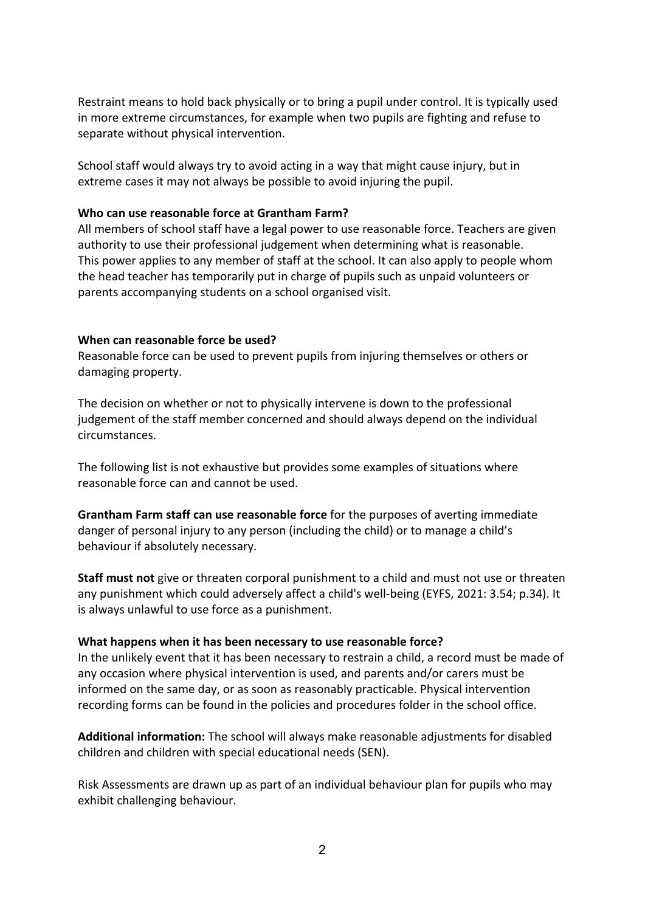Restraint means to hold back physically or to bring a pupil under control. It is typically used in more extreme circumstances, for example when two pupils are fighting and refuse to separate without physical intervention.

School staff would always try to avoid acting in a way that might cause injury, but in extreme cases it may not always be possible to avoid injuring the pupil.

#### **Who can use reasonable force at Grantham Farm?**

All members of school staff have a legal power to use reasonable force. Teachers are given authority to use their professional judgement when determining what is reasonable. This power applies to any member of staff at the school. It can also apply to people whom the head teacher has temporarily put in charge of pupils such as unpaid volunteers or parents accompanying students on a school organised visit.

#### **When can reasonable force be used?**

Reasonable force can be used to prevent pupils from injuring themselves or others or damaging property.

The decision on whether or not to physically intervene is down to the professional judgement of the staff member concerned and should always depend on the individual circumstances.

The following list is not exhaustive but provides some examples of situations where reasonable force can and cannot be used.

**Grantham Farm staff can use reasonable force** for the purposes of averting immediate danger of personal injury to any person (including the child) or to manage a child's behaviour if absolutely necessary.

**Staff must not** give or threaten corporal punishment to a child and must not use or threaten any punishment which could adversely affect a child's well-being (EYFS, 2021: 3.54; p.34). It is always unlawful to use force as a punishment.

### **What happens when it has been necessary to use reasonable force?**

In the unlikely event that it has been necessary to restrain a child, a record must be made of any occasion where physical intervention is used, and parents and/or carers must be informed on the same day, or as soon as reasonably practicable. Physical intervention recording forms can be found in the policies and procedures folder in the school office.

**Additional information:** The school will always make reasonable adjustments for disabled children and children with special educational needs (SEN).

Risk Assessments are drawn up as part of an individual behaviour plan for pupils who may exhibit challenging behaviour.